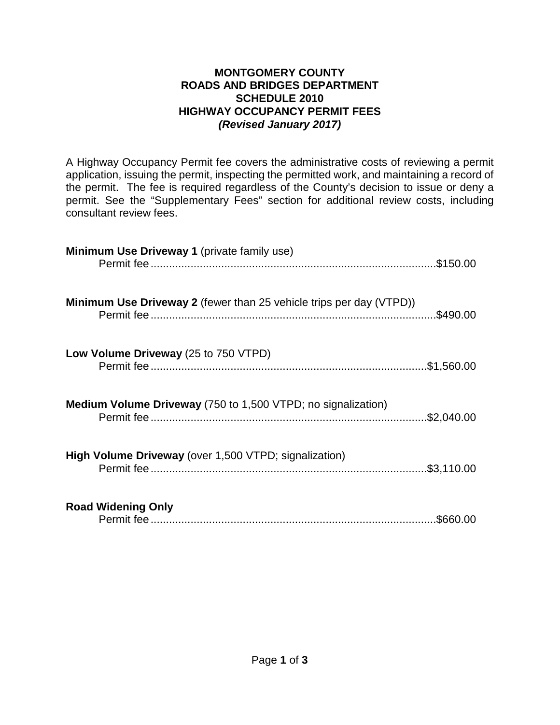#### **MONTGOMERY COUNTY ROADS AND BRIDGES DEPARTMENT SCHEDULE 2010 HIGHWAY OCCUPANCY PERMIT FEES** *(Revised January 2017)*

A Highway Occupancy Permit fee covers the administrative costs of reviewing a permit application, issuing the permit, inspecting the permitted work, and maintaining a record of the permit. The fee is required regardless of the County's decision to issue or deny a permit. See the "Supplementary Fees" section for additional review costs, including consultant review fees.

| <b>Minimum Use Driveway 1 (private family use)</b>                         |           |
|----------------------------------------------------------------------------|-----------|
| <b>Minimum Use Driveway 2</b> (fewer than 25 vehicle trips per day (VTPD)) | .\$490.00 |
| Low Volume Driveway (25 to 750 VTPD)                                       |           |
| <b>Medium Volume Driveway</b> (750 to 1,500 VTPD; no signalization)        |           |
| High Volume Driveway (over 1,500 VTPD; signalization)                      |           |
| <b>Road Widening Only</b>                                                  | .\$660.00 |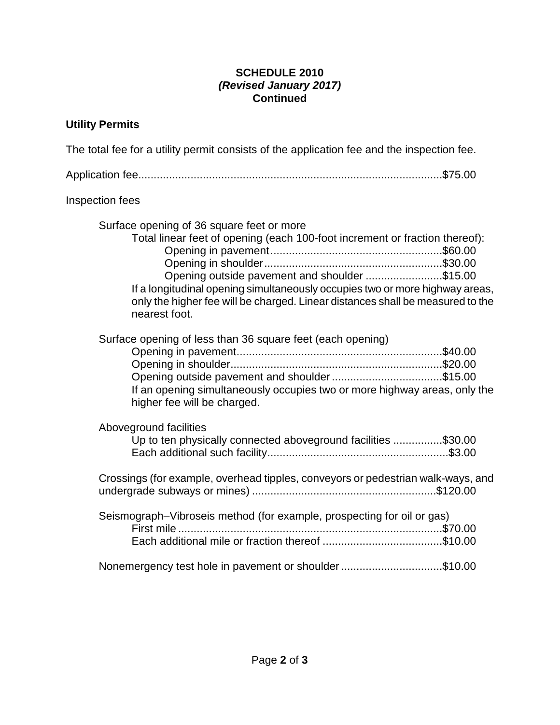## **SCHEDULE 2010** *(Revised January 2017)* **Continued**

# **Utility Permits**

| The total fee for a utility permit consists of the application fee and the inspection fee.                                                                                                                                                                                                                                                                   |  |
|--------------------------------------------------------------------------------------------------------------------------------------------------------------------------------------------------------------------------------------------------------------------------------------------------------------------------------------------------------------|--|
|                                                                                                                                                                                                                                                                                                                                                              |  |
| Inspection fees                                                                                                                                                                                                                                                                                                                                              |  |
| Surface opening of 36 square feet or more<br>Total linear feet of opening (each 100-foot increment or fraction thereof):<br>Opening outside pavement and shoulder \$15.00<br>If a longitudinal opening simultaneously occupies two or more highway areas,<br>only the higher fee will be charged. Linear distances shall be measured to the<br>nearest foot. |  |
| Surface opening of less than 36 square feet (each opening)<br>Opening outside pavement and shoulder\$15.00<br>If an opening simultaneously occupies two or more highway areas, only the<br>higher fee will be charged.                                                                                                                                       |  |
| Aboveground facilities<br>Up to ten physically connected aboveground facilities \$30.00                                                                                                                                                                                                                                                                      |  |
| Crossings (for example, overhead tipples, conveyors or pedestrian walk-ways, and                                                                                                                                                                                                                                                                             |  |
| Seismograph-Vibroseis method (for example, prospecting for oil or gas)                                                                                                                                                                                                                                                                                       |  |
| Nonemergency test hole in pavement or shoulder\$10.00                                                                                                                                                                                                                                                                                                        |  |